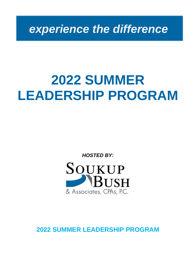*experience the difference*

# **2022 SUMMER LEADERSHIP PROGRAM**

*HOSTED BY:*



**2022 SUMMER LEADERSHIP PROGRAM**